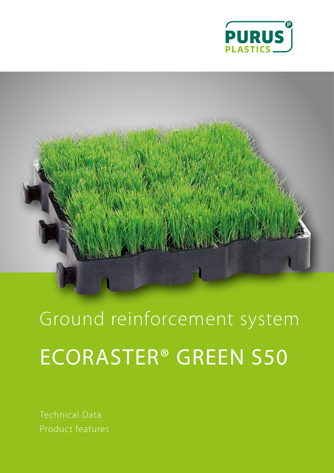



Ground reinforcement system ECORASTER® GREEN S50

Technical Data Product features